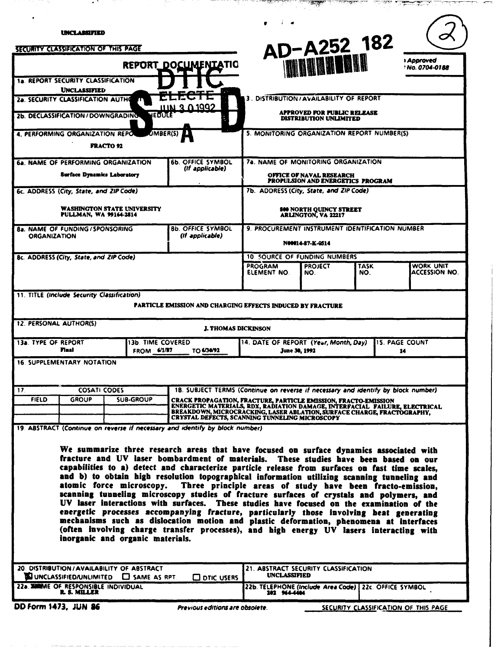| <b>AD-A252 182</b><br><i><b>Approved</b></i><br>REPORT_DOCUMENIATIO<br>' No. 0704-0188<br>3. DISTRIBUTION / AVAILABILITY OF REPORT<br><b>APPROVED FOR PUBLIC RELEASE</b><br><b>DISTRIBUTION UNLIMITED</b>                                                                                                                                                                                                                                                                                                                                                                                                                                                                                                                                                                                                                                                                                                                                                                           |  |  |  |  |
|-------------------------------------------------------------------------------------------------------------------------------------------------------------------------------------------------------------------------------------------------------------------------------------------------------------------------------------------------------------------------------------------------------------------------------------------------------------------------------------------------------------------------------------------------------------------------------------------------------------------------------------------------------------------------------------------------------------------------------------------------------------------------------------------------------------------------------------------------------------------------------------------------------------------------------------------------------------------------------------|--|--|--|--|
|                                                                                                                                                                                                                                                                                                                                                                                                                                                                                                                                                                                                                                                                                                                                                                                                                                                                                                                                                                                     |  |  |  |  |
|                                                                                                                                                                                                                                                                                                                                                                                                                                                                                                                                                                                                                                                                                                                                                                                                                                                                                                                                                                                     |  |  |  |  |
|                                                                                                                                                                                                                                                                                                                                                                                                                                                                                                                                                                                                                                                                                                                                                                                                                                                                                                                                                                                     |  |  |  |  |
|                                                                                                                                                                                                                                                                                                                                                                                                                                                                                                                                                                                                                                                                                                                                                                                                                                                                                                                                                                                     |  |  |  |  |
|                                                                                                                                                                                                                                                                                                                                                                                                                                                                                                                                                                                                                                                                                                                                                                                                                                                                                                                                                                                     |  |  |  |  |
|                                                                                                                                                                                                                                                                                                                                                                                                                                                                                                                                                                                                                                                                                                                                                                                                                                                                                                                                                                                     |  |  |  |  |
| 5. MONITORING ORGANIZATION REPORT NUMBER(S)                                                                                                                                                                                                                                                                                                                                                                                                                                                                                                                                                                                                                                                                                                                                                                                                                                                                                                                                         |  |  |  |  |
|                                                                                                                                                                                                                                                                                                                                                                                                                                                                                                                                                                                                                                                                                                                                                                                                                                                                                                                                                                                     |  |  |  |  |
| 7a. NAME OF MONITORING ORGANIZATION<br><b>OFFICE OF NAVAL RESEARCH</b>                                                                                                                                                                                                                                                                                                                                                                                                                                                                                                                                                                                                                                                                                                                                                                                                                                                                                                              |  |  |  |  |
| <b>PROPULSION AND ENERGETICS PROGRAM</b><br>7b. ADDRESS (City, State, and ZIP Code)                                                                                                                                                                                                                                                                                                                                                                                                                                                                                                                                                                                                                                                                                                                                                                                                                                                                                                 |  |  |  |  |
|                                                                                                                                                                                                                                                                                                                                                                                                                                                                                                                                                                                                                                                                                                                                                                                                                                                                                                                                                                                     |  |  |  |  |
| <b>800 NORTH QUINCY STREET</b><br><b>ARLINGTON, VA 22217</b>                                                                                                                                                                                                                                                                                                                                                                                                                                                                                                                                                                                                                                                                                                                                                                                                                                                                                                                        |  |  |  |  |
| 9. PROCUREMENT INSTRUMENT IDENTIFICATION NUMBER<br>N00014-87-K-Q514                                                                                                                                                                                                                                                                                                                                                                                                                                                                                                                                                                                                                                                                                                                                                                                                                                                                                                                 |  |  |  |  |
| 10 SOURCE OF FUNDING NUMBERS                                                                                                                                                                                                                                                                                                                                                                                                                                                                                                                                                                                                                                                                                                                                                                                                                                                                                                                                                        |  |  |  |  |
| <b>PROGRAM</b><br><b>PROJECT</b><br>TASK<br>WORK UNIT<br>ACCESSION NO.<br>ELEMENT NO.<br>NO.<br>NO.                                                                                                                                                                                                                                                                                                                                                                                                                                                                                                                                                                                                                                                                                                                                                                                                                                                                                 |  |  |  |  |
| PARTICLE EMISSION AND CHARGING EFFECTS INDUCED BY FRACTURE<br><b>J. THOMAS DICKINSON</b>                                                                                                                                                                                                                                                                                                                                                                                                                                                                                                                                                                                                                                                                                                                                                                                                                                                                                            |  |  |  |  |
| 14. DATE OF REPORT (Year, Month, Day)<br>l15. PAGE COUNT                                                                                                                                                                                                                                                                                                                                                                                                                                                                                                                                                                                                                                                                                                                                                                                                                                                                                                                            |  |  |  |  |
| June 30, 1992<br>14                                                                                                                                                                                                                                                                                                                                                                                                                                                                                                                                                                                                                                                                                                                                                                                                                                                                                                                                                                 |  |  |  |  |
|                                                                                                                                                                                                                                                                                                                                                                                                                                                                                                                                                                                                                                                                                                                                                                                                                                                                                                                                                                                     |  |  |  |  |
| 18. SUBJECT TERMS (Continue on reverse if necessary and identify by block number)<br>CRACK PROPAGATION, FRACTURE, PARTICLE EMISSION, FRACTO-EMISSION                                                                                                                                                                                                                                                                                                                                                                                                                                                                                                                                                                                                                                                                                                                                                                                                                                |  |  |  |  |
| ENERGETIC MATERIALS, RDX, RADIATION DAMAGE, INTERFACIAL  FAILURE, ELECTRICAL<br>BREAKDOWN, MICROCRACKING, LASER ABLATION, SURFACE CHARGE, FRACTOGRAPHY.<br>CRYSTAL DEFECTS, SCANNING TUNNELING MICROSCOPY                                                                                                                                                                                                                                                                                                                                                                                                                                                                                                                                                                                                                                                                                                                                                                           |  |  |  |  |
| 19. ABSTRACT (Continue on reverse if necessary and identify by block number)                                                                                                                                                                                                                                                                                                                                                                                                                                                                                                                                                                                                                                                                                                                                                                                                                                                                                                        |  |  |  |  |
| We summarize three research areas that have focused on surface dynamics associated with<br>fracture and UV laser bombardment of materials. These studies have been based on our<br>capabilities to a) detect and characterize particle release from surfaces on fast time scales,<br>and b) to obtain high resolution topographical information utilizing scanning tunneling and<br>atomic force microscopy. Three principle areas of study have been fracto-emission,<br>scanning tunneling microscopy studies of fracture surfaces of crystals and polymers, and<br>UV laser interactions with surfaces. These studies have focused on the examination of the<br>energetic processes accompanying fracture, particularly those involving heat generating<br>mechanisms such as dislocation motion and plastic deformation, phenomena at interfaces<br>(often involving charge transfer processes), and high energy UV lasers interacting with<br>inorganic and organic materials. |  |  |  |  |
| 21. ABSTRACT SECURITY CLASSIFICATION                                                                                                                                                                                                                                                                                                                                                                                                                                                                                                                                                                                                                                                                                                                                                                                                                                                                                                                                                |  |  |  |  |
| <b>UNCLASSIFIED</b><br><b>CO DTIC USERS</b>                                                                                                                                                                                                                                                                                                                                                                                                                                                                                                                                                                                                                                                                                                                                                                                                                                                                                                                                         |  |  |  |  |
|                                                                                                                                                                                                                                                                                                                                                                                                                                                                                                                                                                                                                                                                                                                                                                                                                                                                                                                                                                                     |  |  |  |  |

 $\mathbb{R}$ 

-11

 $\cdot$  .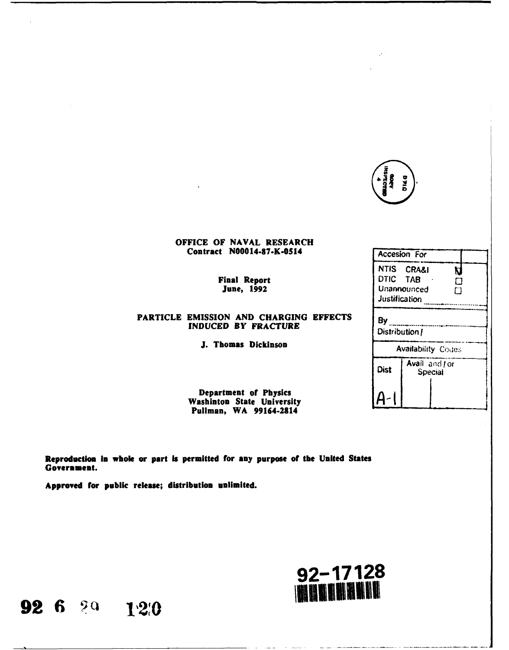| <b>MADIASMI</b><br>INSPECTER | <b>DIA</b> |  |
|------------------------------|------------|--|
|                              |            |  |

**NTIS** CRA&l

Justification **.............................** 

Ŋ  $\Box$  $\Box$ 

Avail and for

Dist  $\int_{\text{Special}}^{\text{normal and real}}$ 

#### OFFICE OF **NAVAL** RESEARCH Contract N00014-87-K-0514 Accesion For

**Final Report June, 1992 June, 1992 OTIC TAB June, 1992** 

## **PARTICLE EMISSION AND CHARGING EFFECTS** By **INDUCED BY FRACTURE**  $\begin{bmatrix} 0 & \dots & \dots & \dots & \dots \\ 0 & \dots & \dots & \dots & \dots \\ 0 & \dots & \dots & \dots & \dots \\ 0 & \dots & \dots & \dots & \dots \end{bmatrix}$

**J. Thomas Dickinson Availability Codes** 

Department of Physics **Washinton State University**  $A$ -Pullman, WA 99164-2814-

Reproduction **In** whole or part **is** permitted for **any** purpose of the United States Government.

Approved for public release; distribution unlimited.



**92 6 29 120**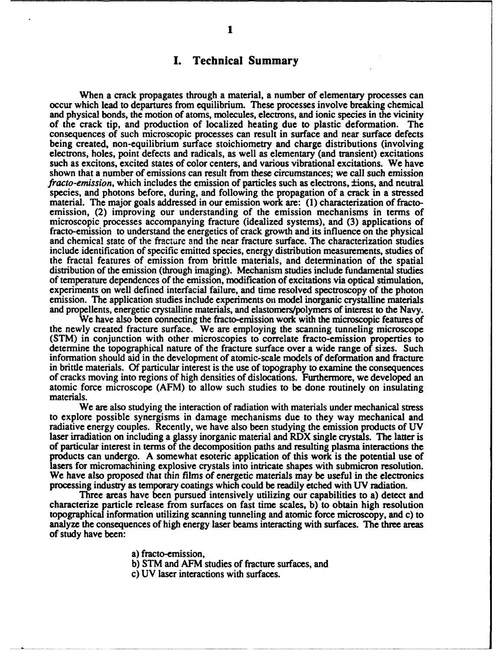## **I. Technical Summary**

When a crack propagates through a material, a number of elementary processes can occur which lead to departures from equilibrium. These processes involve breaking chemical<br>and physical bonds, the motion of atoms, molecules, electrons, and ionic species in the vicinity of the crack tip, and production of localized heating due to plastic deformation. The consequences of such microscopic processes can result in surface and near surface defects being created, non-equilibrium surface stoichiometry and charge distributions (involving electrons, holes, point defects and radicals, as well as elementary (and transient) excitations such as excitons, excited states of color centers, and various vibrational excitations. We have shown that a number of emissions can result from these circumstances; we call such emission *fracto-emission,* which includes the emission of particles such as electrons, ±ions, and neutral species, and photons before, during, and following the propagation of a crack in a stressed material. The major goals addressed in our emission work are: **(1)** characterization of fractoemission, (2) improving our understanding of the emission mechanisms in terms of microscopic processes accompanying fracture (idealized systems), and **(3)** applications of and chemical state of the fracture and the near fracture surface. The characterization studies include identification of specific emitted species, energy distribution measurements, studies of the fractal features of emission from brittle materials, and determination of the spatial distribution of the emission (through imaging). Mechanism studies include fundamental studies of temperature dependences of the emission, modification of excitations via optical stimulation, experiments on well defined interfacial failure, and time resolved spectroscopy of the photon emission. The application studies include experiments on model inorganic crystalline materials and propellents, energetic crystalline materials, and elastomers/polymers of interest to the Navy. We have also been connecting the fracto-emission work with the microscopic features of

the newly created fracture surface. We are employing the scanning tunneling microscope (STM) in conjunction with other microscopies to correlate fracto-emission properties to determine the topographical nature of the fracture surface over a wide range of sizes. Such information should aid in the development of atomic-scale models of deformation and fracture in brittle materials. **Of** particular interest is the use of topography to examine the consequences of cracks moving into regions of high densities of dislocations. Furthermore, we developed an atomic force microscope (AFM) to allow such studies to be done routinely on insulating materials.

We are also studying the interaction of radiation with materials under mechanical stress to explore possible synergisms in damage mechanisms due to they way mechanical and radiative energy couples. Recently, we have also been studying the emission products of **UV** laser irradiation on including a glassy inorganic material and RDX single crystals. The latter is of particular interest in terms of the decomposition paths and resulting plasma interactions the products can undergo. **A** somewhat esoteric application of this work is the potential use of lasers for micromachining explosive crystals into intricate shapes with submicron resolution. We have also proposed that thin films of energetic materials may be useful in the electronics processing industry as temporary coatings which could be readily etched with **UV** radiation.

Three areas have been pursued intensively utilizing our capabilities to a) detect and characterize particle release from surfaces on fast time scales, **b)** to obtain high resolution topographical information utilizing scanning tunneling and atomic force microscopy, and c) to analyze the consequences of high energy laser beams interacting with surfaces. **The** three areas of study have been:

a) fracto-emission,

**b)** STM and AFM studies of fracture surfaces, and

c) **UV** laser interactions with surfaces.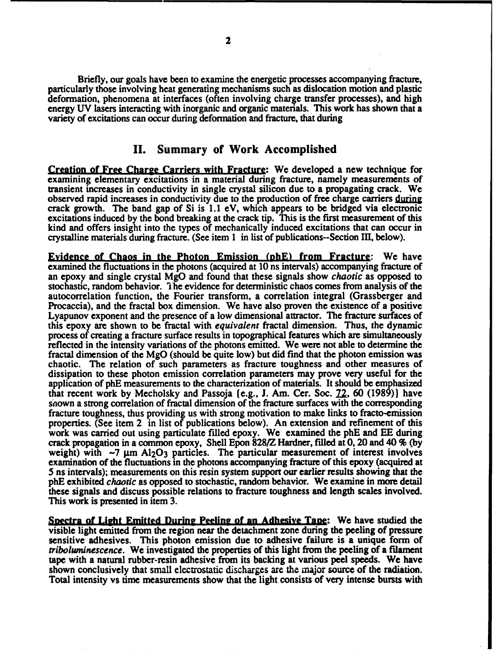Briefly, our goals have been to examine the energetic processes accompanying fracture, particularly those involving heat generating mechanisms such as dislocation motion and plastic deformation, phenomena at interfaces (often involving charge transfer processes), and high energy **UV** lasers interacting with inorganic and organic materials. This work has shown that a variety of excitations can occur during deformation and fracture, that during

### **II.** Summary of Work Accomplished

Creation of Free **Charge** Carriers with Fracture: We developed a new technique for examining elementary excitations in a material during fracture, namely measurements of transient increases in conductivity in single crystal silicon due to a propagating crack. We observed rapid increases in conductivity due to the production of free charge carriers during crack growth. The band gap of Si is 1.1 eV, which appears to be bridged via electronic excitations induced **by** the bond breaking at the crack tip. This is the first measurement of this kind and offers insight into the types of mechanically induced excitations that can occur in crystalline materials during fracture. (See item **1** in list of publications--Section **III,** below).

**Evidence of Chaos in the Photon Emission (nhE) from Fracture: We have** examined the fluctuations in the photons (acquired at **10** ns intervals) accompanying fracture of an epoxy and single crystal **MgO** and found that these signals show chaotic as opposed to stochastic, random behavior. *"* he evidence for deterministic chaos comes from analysis of the autocorrelation function, the Fourier transform, a correlation integral (Grassberger and Procaccia), and the fractal box dimension. We have also proven the existence of a positive Lyapunov exponent and the presence of a low dimensional attractor. The fracture surfaces of this epoxy are shown to be fractal with *equivalent* fractal dimension. Thus, the dynamic process of creating a fracture surface results in topographical features which are simultaneously reflected in the intensity variations of the photons emitted. We were not able to determine the fractal dimension of the **MgO** (should be quite low) but did find that the photon emission was chaotic. The relation of such parameters as fracture toughness and other measures of dissipation to these photon emission correlation parameters may prove very useful for the application of **phE** measurements to the characterization of materials. It should be emphasized that recent work **by** Mecholsky and Passoja (e.g., **J.** Am. Cer. Soc. 22, **60 (1989))** have shown a strong correlation of fractal dimension of the fracture surfaces with the corresponding fracture toughness, thus providing us with strong motivation to make links to fracto-emission properties. (See item 2 in list of publications below). An extension and refinement of this work was carried out using particulate filled epoxy. We examined the **phE** and **EE** during crack propagation in a common epoxy, Shell Epon **828/Z** Hardner, filled at **0,** 20 and 40 **% (by** weight) with  $-7 \mu m$  Al<sub>2</sub>O<sub>3</sub> particles. The particular measurement of interest involves examination of the fluctuations in the photons accompanying fracture of this epoxy (acquired at 5 ns intervals); measurements on this resin system support our earlier results showing that the **phE** exhibited *chaotic* as opposed to stochastic, random behavior. We examine in **more** detail these signals and discuss possible relations to fracture toughness and length scales involved. This work is presented in item **3.**

**Snectra of** Light Emitted During **Peeling** of **an** Adhesive **Tane:** We have studied the visible light emitted from the region near the detachment zone during the peeling of pressure sensitive adhesives. This photon emission due to adhesive failure is a unique form of *triboluminescence.* We investigated the properties of this light from the peeling of a filament tape with a natural rubber-resin adhesive from its backing at various peel speeds. We have shown conclusively that small electrostatic discharges are the major source of the radiation. Total intensity vs time measurements show that the light consists of very intense bursts with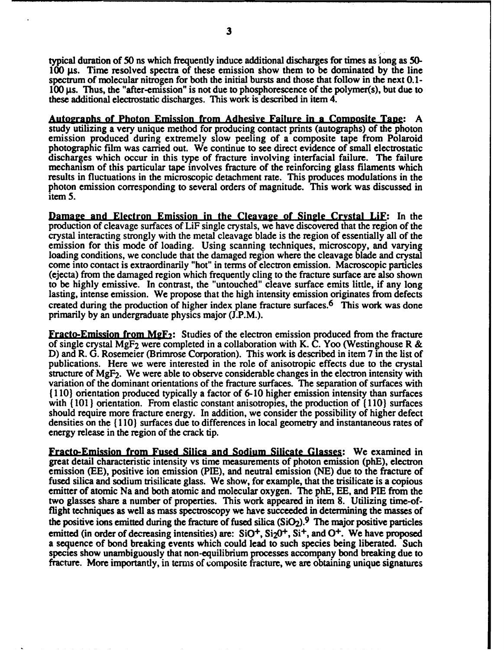**3**

typical duration of **50** ns which frequently induce additional discharges for times as long as **50-** 100  $\mu$ s. Time resolved spectra of these emission show them to be dominated by the line spectrum of molecular nitrogen for both the initial bursts and those that follow in the next **0.1- 100** gs. Thus, the "after-emission" is not due to phosphorescence of the polymer(s), but due to these additional electrostatic discharges. **This** work is described in item 4.

Autographs of Photon Emission from Adhesive Failure **in a** Composite **Tane: A** emission produced during extremely slow peeling of a composite tape from Polaroid photographic film was carried out. We continue to see direct evidence of small electrostatic discharges which occur in this type of fracture involving interfacial failure. The failure mechanism of this particular tape involves fracture of the reinforcing glass filaments which results in fluctuations in the microscopic detachment rate. This produces modulations in the photon emission corresponding to several orders of magnitude. This work was discussed in item **5.**

**Damage and Electron Emission in the Cleavage of Single Crystal LiF:** In the production of cleavage surfaces of LiF single crystals, we have discovered that the region of the crystal interacting strongly with the metal cleavage blade is the region of essentially all of the emission for this mode of loading. Using scanning techniques, microscopy, and varying loading conditions, we conclude that the damaged region where the cleavage blade and crystal come into contact is extraordinarily "hot" in terms of electron emission. Macroscopic particles (ejecta) from the damaged region which frequently cling to the fracture surface are also shown lasting, intense emission. We propose that the high intensity emission originates from defects created during the production of higher index plane fracture surfaces.<sup>6</sup> This work was done primarily **by** an undergraduate physics major **(J.P.M.).**

**Fracto-Emission from MgF<sub>2</sub>:** Studies of the electron emission produced from the fracture of single crystal **MgF2** were completed in a collaboration with K. **C.** Yoo (Westinghouse R **& D)** and R. **G.** Rosemeier (Brimrose Corporation). This work is described in item **7** in the list of publications. Here we were interested in the role of anisotropic effects due to the crystal structure of **MgF2.** We were able to observe considerable changes in the electron intensity with variation of the dominant orientations of the fracture surfaces. The separation of surfaces with **(110)** orientation produced typically a factor of **6-10** higher emission intensity than surfaces with **(101 )** orientation. From elastic constant anisotropies, the production of **(110)** surfaces should require more fracture energy. In addition, we consider the possibility of higher defect densities on the  $\{110\}$  surfaces due to differences in local geometry and instantaneous rates of energy release in the region of the crack tip.

Fracto-Emission from Fused Silica and Sodium Silicate Glasses: We examined in great detail characteristic intensity vs time measurements of photon emission **(phE),** electron emission **(EE),** positive ion emission **(PIE),** and neutral emission **(NE)** due to the fracture of fused silica and sodium trisilicate glass. We show, for example, that the trisilicate is a copious emitter of atomic Na and both atomic and molecular oxygen. The **phE, EE,** and PIE from the two glasses share a number of properties. This work appeared in item **8.** Utilizing time-offlight techniques as well as mass spectroscopy we have succeeded in determining the masses of the positive ions emitted during the fracture of fused silica  $(SiO<sub>2</sub>)$ . The major positive particles emitted (in order of decreasing intensities) are: SiO<sup>+</sup>, Si<sub>2</sub>0<sup>+</sup>, Si<sup>+</sup>, and O<sup>+</sup>. We have proposed a sequence of bond breaking events which could lead to such species being liberated. **Such** species show unambiguously that non-equilibrium processes accompany bond breaking due to fracture. More importantly, in terms of composite fracture, we are obtaining unique signatures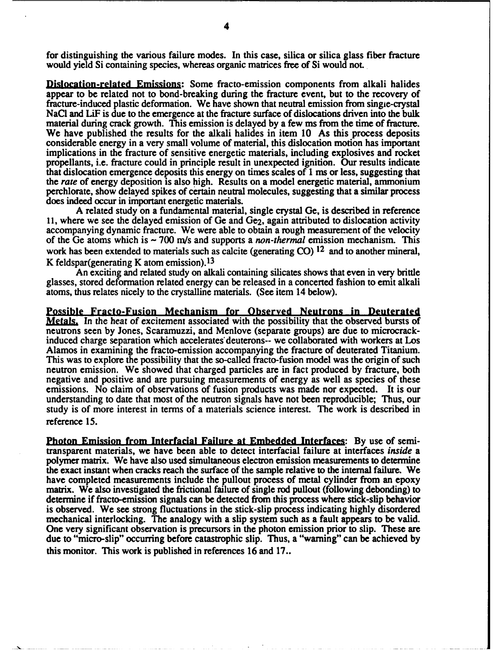for distinguishing the various failure modes. In this case, silica or silica glass fiber fracture would yield Si containing species, whereas organic matrices free of Si would not.

Dislocation-related Emissions: Some fracto-emission components from alkali halides appear to be related not to bond-breaking during the fracture event, but to the recovery of fracture-induced plastic deformation. We have shown that neutral emission from singie-crystal NaC1 and LiF is due to the emergence at the fracture surface of dislocations driven into the bulk material during crack growth. This emission is delayed **by** a few ms from the time of fracture. We have published the results for the alkali halides in item **10** As this process deposits considerable energy in a very small volume of material, this dislocation motion has important implications in the fracture of sensitive energetic materials, including explosives and rocket propellants, i.e. fracture could in principle result in unexpected ignition. Our results indicate that dislocation emergence deposits this energy on times scales of **1** ms or less, suggesting that the rate of energy deposition is also high. Results on a model energetic material, ammonium perchlorate, show delayed spikes of certain neutral molecules, suggesting that a similar process does indeed occur in important energetic materials.

**A** related study on a fundamental material, single crystal Ge, is described in reference **11,** where we see the delayed emission of Ge and Ge2, again attributed to dislocation activity accompanying dynamic fracture. We were able to obtain a rough measurement of the velocity of the Ge atoms which is **- <sup>700</sup>***m/s* and supports a *non-thermal* emission mechanism. This work has been extended to materials such as calcite (generating **CO) 12** and to another mineral, K feldspar(generating K atom emission). <sup>13</sup>

An exciting and related study on alkali containing silicates shows that even in very brittle glasses, stored deformation related energy can be released in a concerted fashion to emit alkali atoms, thus relates nicely to the crystalline materials. (See item 14 below).

Possible Fracto-Fusion Mechanism for Observed Neutrons in Deuterated **Metals.** In the heat of excitement associated with the possibility that the observed bursts of neutrons seen **by** Jones, Scaramuzzi, and Menlove (separate groups) are due to microcrackinduced charge separation which accelerates deuterons-- we collaborated with workers at Los Alamos in examining the fracto-emission accompanying the fracture of deuterated Titanium. This was to explore the possibility that the so-called fracto-fusion model was the origin of such neutron emission. We showed that charged particles are in fact produced **by** fracture, both negative and positive and are pursuing measurements of energy as well as species of these emissions. No claim of observations of fusion products was made nor expected. It is our understanding to date that most of the neutron signals have not been reproducible; Thus, our study is of more interest in terms of a materials science interest. The work is described in reference **15.**

Photon Emission from Interfacial Failure at Embedded Interfaces: **By** use of semitransparent materials, we have been able to detect interfacial failure at interfaces *inside a* polymer matrix. We have also used simultaneous electron emission measurements to determine the exact instant when cracks reach the surface of the sample relative to the internal failure. We have completed measurements include the pullout process of metal cylinder from an epoxy matrix. We also investigated the frictional failure of single rod pullout (following debonding) to determine if fracto-emission signals can be detected from this process where stick-slip behavior is observed. We see strong fluctuations in the stick-slip process indicating **highly** disordered mechanical interlocking. The analogy with a slip system such as a fault appears to be valid. One very significant observation is precursors in the photon emission prior to slip. These are due to "micro-slip" occurring before catastrophic slip. Thus, a "warning" can be achieved **by** this monitor. This work is published in references **16** and **17..**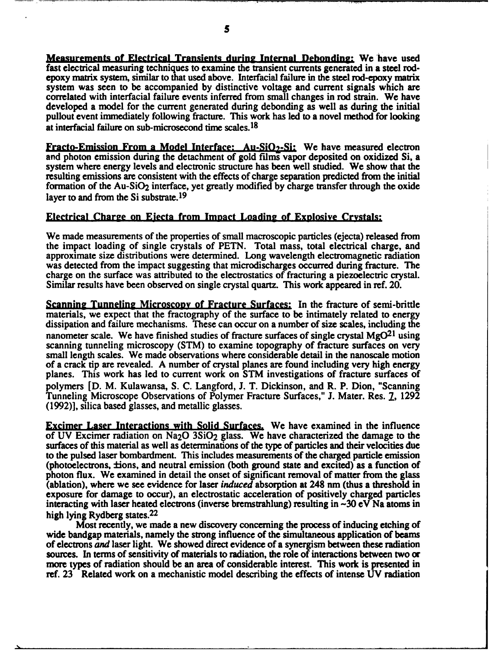Measurements of Electrical Transients during Internal Debonding: We have used fast electrical measuring techniques to examine the transient currents generated in a steel rodepoxy matrix system, similar to **that** used above. Interfacial failure in the steel rod-epoxy matrix system was seen to be accompanied **by** distinctive voltage and current signals which are correlated with interfacial failure events inferred from small changes in rod strain. We have developed a model for the current generated during debonding as well as during the initial pullout event immediately following fracture. **This** work has led to a novel method for looking at interfacial failure on sub-microsecond time scales. <sup>18</sup>

Fracto-Emission From **a** Model Interface: **Au-SiO,-Si:** We have measured electron and photon emission during the detachment of gold **films** vapor deposited on oxidized Si, a system where energy levels and electronic structure has been well studied. We show that the resulting emissions are consistent with the effects of charge separation predicted from the initial formation of the Au-SiO2 interface, yet greatly modified **by** charge transfer through the oxide layer to and from the Si substrate.<sup>19</sup>

#### Electrical Charge on Eiecta from Imnact Loading of Exnlosive Crystals:

We made measurements of the properties of small macroscopic particles (ejecta) released from the impact loading of single crystals of **PETN.** Total mass, total electrical charge, and approximate size distributions were determined. Long wavelength electromagnetic radiation was detected from the impact suggesting that microdischarges occurred during fracture. The charge on the surface was attributed to the electrostatics of fracturing a piezoelectric crystal. Similar results have been observed on single crystal quartz. This work appeared in ref. 20.

Scanning Tunneling Microsconv of Fracture Surfaces: In the fracture of semi-brittle materials, we expect that the fractography of the surface to be intimately related to energy dissipation and failure mechanisms. These can occur on a number of size scales, including the nanometer scale. We have finished studies of fracture surfaces of single crystal **MgO21** using scanning tunneling microscopy (STM) to examine topography of fracture surfaces on very small length scales. We made observations where considerable detail in the nanoscale motion of a crack tip are revealed. **A** number of crystal planes are found including very high energy planes. This work has led to current work on STM investigations of fracture surfaces of polymers **[D.** M. Kulawansa, **S. C.** Langford, **J.** T. Dickinson, and R. P. Dion, "Scanning Tunneling Microscope Observations of Polymer Fracture Surfaces," **J.** Mater. Res. **7, 1292 (1992)],** silica based glasses, and metallic glasses.

Excimer Laser Interactions with Solid Surfaces. We have examined in the influence of **UV** Excimer radiation on Na20 3SiO2 glass. We have characterized the damage to the surfaces of this material as well as determinations of the type of particles and their velocities due to the pulsed laser bombardment. This includes measurements of the charged particle emission (photoelectrons, tions, and neutral emission (both ground state and excited) as a function of photon flux. We examined in detail the onset of significant removal of matter from the glass (ablation), where we see evidence for laser *induced* absorption at 248 nm (thus a threshold in exposure for damage to occur), an electrostatic acceleration of positively charged particles interacting with laser heated electrons (inverse bremstrahlung) resulting in **-30** eV Na atoms in high lying Rydberg states.<sup>22</sup>

Most recently, we made a new discovery concerning the process of inducing etching of wide bandgap materials, namely the strong influence of the simultaneous application of beams of electrons *and* laser light. We showed direct evidence of a synergism between these radiation sources. In terms of sensitivity of materials to radiation, the role of interactions between two or more types of radiation should be an area of considerable interest. This work is presented in ref. **23** Related work on a mechanistic model describing the effects of intense **UV** radiation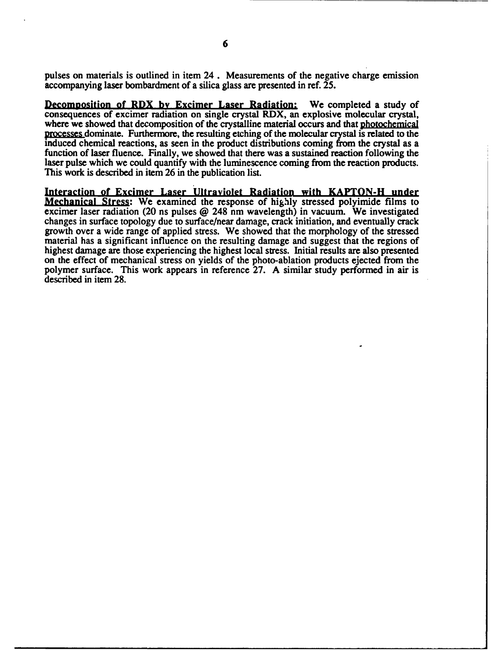pulses on materials is outlined in item **24.** Measurements of the negative charge emission accompanying laser bombardment of a silica glass are presented in ref. **25.**

Decomnosition **of RDX by Excimer Laser Radiation: We completed** a **study of** consequences of excimer radiation on single crystal RDX, an explosive molecular crystal, where we showed that decomposition of the crystalline material occurs and that photochemical processes dominate. Furthermore, the resulting etching of the molecular crystal is related to the induced chemical reactions, as seen in the product distributions coming from the crystal as a function of laser fluence. Finally, we showed that there was a sustained reaction following the laser pulse which we could quantify with the luminescence coming from the reaction products. This work is described in item **26** in the publication list.

**Interaction of Excimer Laser Ultraviolet Radiation with KAPTON-H under** Mechanical Stress: We examined the response of **highly** stressed polyimide films to excimer laser radiation (20 ns pulses **@** 248 nm wavelength) in vacuum. We investigated changes in surface topology due to surface/near damage, crack initiation, and eventually crack growth over a wide range of applied stress. We showed that the morphology of the stressed material has a significant influence on the resulting damage and suggest that the regions of highest damage are those experiencing the highest local stress. Initial results are also presented on the effect of mechanical stress on yields of the photo-ablation products ejected from the polymer surface. This work appears in reference **27.** A similar study performed in air is described in item **28.**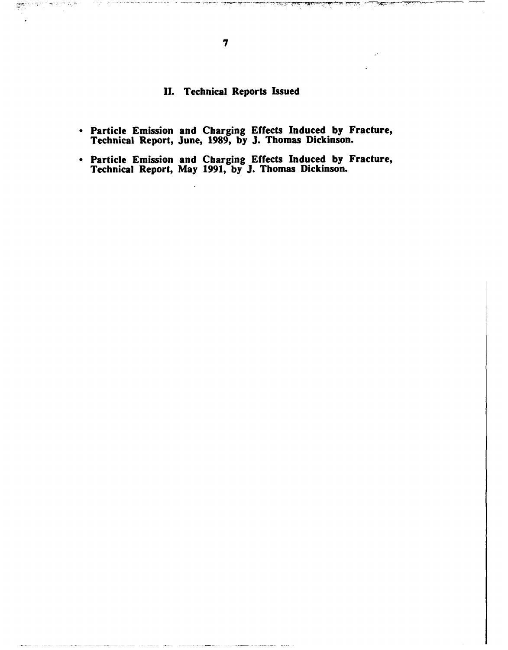## **II.** Technical Reports Issued

- Particle Emission and Charging Effects Induced **by** Fracture, Technical Report, June, **1989, by J.** Thomas Dickinson.
- Particle Emission and Charging Effects Induced **by** Fracture, Technical Report, May **1991, by J.** Thomas Dickinson.

<u>anini</u>

17

ಲ್ಲಿ ಸ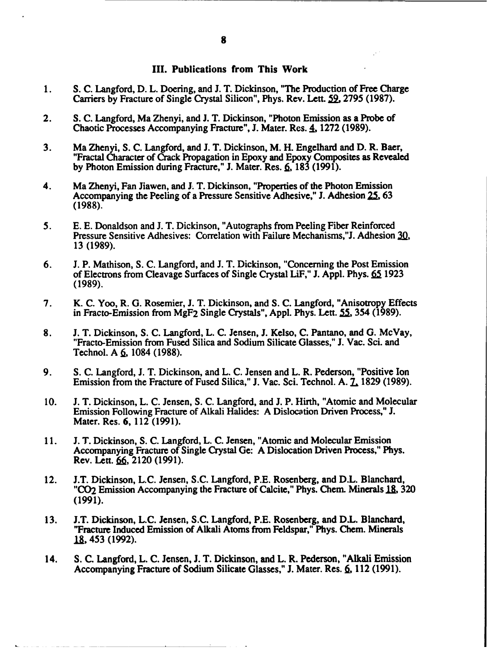#### III. Publications from This Work

- **1. S. C.** Langford, **D.** L. Doering, and **J.** T. Dickinson, **"The** Production of Free Charge Carriers **by** Fracture of Single Crystal Silicon", Phys. Rev. Lett. **59. 2795 (1987).**
- 2. **S. C.** Langford, Ma Zhenyi, and **J.** T. Dickinson, "Photon Emission as a Probe of Chaotic Processes Accompanying Fracture", **J.** Mater. Res. **4, 1272 (1989).**
- **3.** Ma Zhenyi, **S. C.** Langford, and **J.** T. Dickinson, M. H. Engelhard and **D.** R. Baer, "Fractal Character of Crack Propagation in Epoxy and Epoxy Composites as Revealed **by** Photon Emission during Fracture," **J.** Mater. Res. **6, 183 (1991).**
- 4. Ma Zhenyi, Fan Jiawen, and **J.** T. Dickinson, "Properties of the Photon Emission Accompanying the Peeling of a Pressure Sensitive Adhesive," **J.** Adhesion **25, 63 (1988).**
- **5. E. E.** Donaldson and **J.** T. Dickinson, "Autographs from Peeling Fiber Reinforced Pressure Sensitive Adhesives: Correlation with Failure Mechanisms,"J. Adhesion **3, 13 (1989).**
- **6. J.** P. Mathison, **S. C.** Langford, and **J.** T. Dickinson, "Concerning the Post Emission of Electrons from Cleavage Surfaces of Single Crystal LiF," **J. Appl.** Phys. **65 1923 (1989).**
- **7.** K. **C.** Yoo, R. **G.** Rosemier, **J.** T. Dickinson, and **S. C.** Langford, "Anisotropy Effects in Fracto-Emission from **MgF2** Single Crystals", **Appl.** Phys. Lett. **55,** 354 **(1989).**
- **8. J.** T. Dickinson, **S. C.** Langford, L. **C.** Jensen, **J.** Kelso, **C.** Pantano, and **G.** McVay, "Fracto-Emission from Fused Silica and Sodium Silicate Glasses," **J.** Vac. Sci. and Technol. **A 6,** 1084 **(1988).**
- **9. S. C.** Langford, **J.** T. Dickinson, and L. **C.** Jensen and L. R. Pederson, "Positive Ion Emission from the Fracture of Fused Silica," **J.** Vac. Sci. Technol. **A.** L **1829 (1989).**
- **10. J.** T. Dickinson, L. **C.** Jensen, **S. C.** Langford, and **J.** P. Hirth, "Atomic and Molecular Emission Following Fracture of Alkali Halides: **A** Dislocation Driven Process," **J.** Mater. Res. **6,** 112 **(1991).**
- **11. J.** T. Dickinson, **S. C.** Langford, L. **C.** Jensen, "Atomic and Molecular Emission Accompanying Fracture of Single Crystal Ge: **A** Dislocation Driven Process," Phys. Rev. Lett. **6,** 2120 **(1991).**
- 12. **J.T.** Dickinson, **L.C.** Jensen, **S.C.** Langford, P.E. Rosenberg, and D.L. Blanchard, **"CO2** Emission Accompanying the Fracture of Calcite," Phys. Chem. Minerals **1& 320 (1991).**
- **13. J.T.** Dickinson, **L.C.** Jensen, **S.C.** Langford, P.E. Rosenberg, and D.L. Blanchard, "Fracture Induced Emission of Alkali Atoms from Feldspar," Phys. Chem. Minerals **1,** 453 **(1992).**
- 14. **S. C.** Langford, L. **C.** Jensen, **J.** T. Dickinson, and L. R. Pederson, "Alkali Emission Accompanying Fracture of Sodium Silicate Glasses," J. Mater. Res. 6, 112 (1991).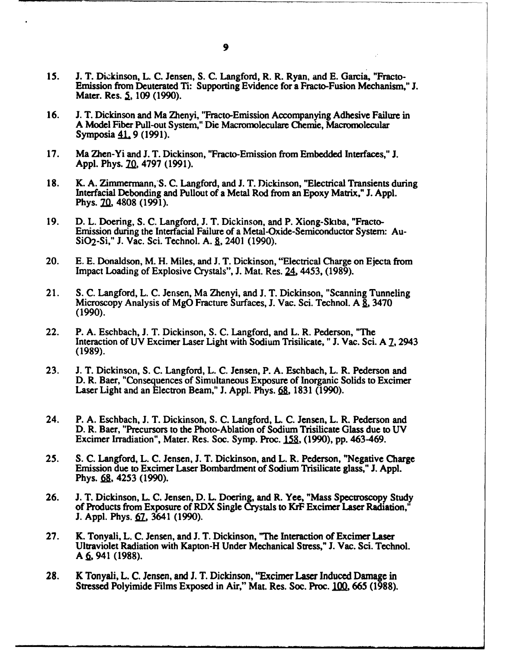- **15. J.** T. Dickinson, L. **C.** Jensen, **S. C.** Langford, R. R. Ryan, and **E.** Garcia, "Fracto-Emission from Deuterated Ti: Supporting Evidence for a Fracto-Fusion Mechanism," **J.** Mater. Res. **5, 109 (1990).**
- **16. J.** T. Dickinson and Ma Zhenyi, "Fracto-Emission Accompanying Adhesive Failure in **A** Model Fiber Punl-out System," Die Macromoleculare Chemie, Macromolecular Symposia 41, 9 (1991).
- **17.** Ma Zhen-Yi and **J.** T. Dickinson, "Fracto-Emission from Embedded Interfaces," **J.** Appl. Phys. 70, 4797 (1991).
- 18. K. A. Zimmermann, S. C. Langford, and J. T. Dickinson, "Electrical Transients during<br>Interfacial Debonding and Pullout of a Metal Rod from an Epoxy Matrix," J. Appl.<br>Phys. 70, 4808 (1991).
- **19. D.** L. Doering, **S. C.** Langford, **J.** T. Dickinson, and P. Xiong-Skiba, "Fracto-Emission during the Interfacial Failure of a Metal-Oxide-Semiconductor System: Au-SiO2-Si," **J.** Vac. Sci. Technol. **A. 1,** 2401 **(1990).**
- 20. **E. E.** Donaldson, M. H. Miles, and **J.** T. Dickinson, "Electrical Charge on Ejecta from Impact Loading of Explosive Crystals", **J.** Mat. Res. **24.** 4453, **(1989).**
- 21. **S. C.** Langford, L. **C.** Jensen, Ma Zhenyi, and **J.** T. Dickinson, "Scanning Tunneling Microscopy Analysis of **MgO** Fracture Surfaces, **J.** Vac. Sci. Technol. A **,** <sup>3470</sup> **(1990).**
- 22. P. **A.** Eschbach, **J.** T. Dickinson, **S. C.** Langford, and L. R. Pederson, "The Interaction of **UV** Excimer Laser Light with Sodium Trisilicate, **"J.** Vac. Sci. **A** 1,2943 **(1989).**
- **23. J.** T. Dickinson, **S. C.** Langford, L. **C.** Jensen, P. **A.** Eschbach, L. R. Pederson and **D.** R. Baer, "Consequences of Simultaneous Exposure of Inorganic Solids to Excimer Laser Light and an Electron Beam," **J. Appl.** Phys. **6a, 1831 (1990).**
- 24. P. **A.** Eschbach, **J.** T. Dickinson, **S. C.** Langford, **L. C.** Jensen, L. R. Pederson and **D.** R. Baer, "Precursors to the Photo-Ablation of Sodium Trisilicate Glass due to **UV** Excimer Irradiation", Mater. Res. Soc. Symp. Proc. 158, (1990), pp. 463-469.
- **25. S. C.** Langford, L. **C.** Jensen, **J.** T. Dickinson, and L. R. Pederson, "Negative Charge Emission due to Excimer Laser Bombardment of Sodium Trisilicate glass," **J. Appl.** Phys. 68, 4253 (1990).
- **26. J.** T. Dickinson, L. **C.** Jensen, **D.** L. Doering, and R. Yee, "Mass Spectroscopy Study of Products from Exposure of RDX Single Crystals to KrF Excimer Laser Radiation," **J. Appl. Phys. 67, 3641 (1990).**
- **27.** K. Tonyali, L. **C.** Jensen, and **J.** T. Dickinson, **"The** Interaction of Excimer Laser Ultraviolet Radiation with Kapton-H Under Mechanical Stress," **J.** Vac. Sci. Technol. A 6, 941 (1988).
- **28.** K Tonyali, L. **C.** Jensen, and **J.** T. Dickinson, **"Exciimer** Laser Induced Damage in Stressed Polyimide Films Exposed in Air," Mat. Res. Soc. Proc. 100, 665 (1988).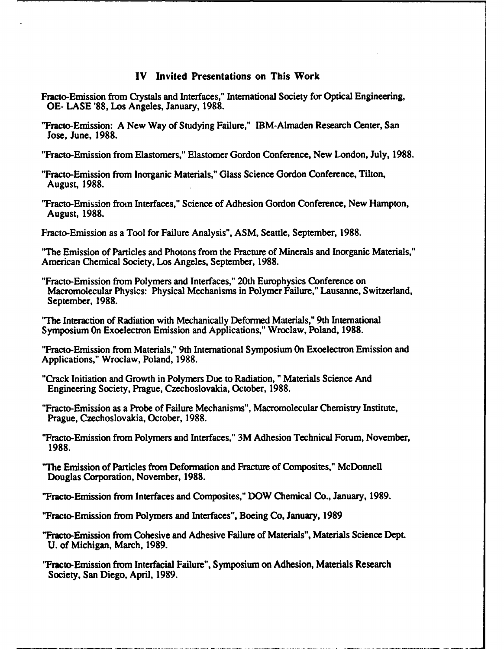#### IV Invited Presentations on This Work

- Fracto-Emission from Crystals and Interfaces," International Society for Optical Engineering, **OE- LASE '88,** Los Angeles, January, **1988.**
- 'Fracto-Emission: **A** New Way of Studying Failure," IBM-Almaden Research Center, San Jose, June, **1988.**

"Fracto-Emission from Elastomers," Elastomer Gordon Conference, New London, July, **1988.**

"Fracto-Emission from Inorganic Materials," Glass Science Gordon Conference, Tilton, August, **1988.**

"Fracto-Emission from Interfaces," Science of Adhesion Gordon Conference, New Hampton, August, **1988.**

Fracto-Emission as a Tool for Failure Analysis", **ASM,** Seattle, September, **1988.**

'The Emission of Particles and Photons from the Fracture of Minerals and Inorganic Materials," American Chemical Society, Los Angeles, September, **1988.**

"Fracto-Emission from Polymers and Interfaces," 20th Europhysics Conference on Macromolecular Physics: Physical Mechanisms in Polymer Failure," Lausanne, Switzerland, September, **1988.**

**'"The** Interaction of Radiation with Mechanically Deformed Materials," 9th International Symposium On Exoelectron Emission and Applications," Wroclaw, Poland, **1988.**

"Fracto-Emission from Materials," 9th International Symposium On Exoelectron Emission and Applications," Wroclaw, Poland, **1988.**

"Crack Initiation and Growth in Polymers Due to Radiation, "Materials Science And Engineering Society, Prague, Czechoslovakia, October, **1988.**

"Fracto-Emission as a Probe of Failure Mechanisms", Macromolecular Chemistry Institute, Prague, Czechoslovakia, October, **1988.**

"Fracto-Emission from Polymers and Interfaces," 3M Adhesion Technical Forum, November, **1988.**

"The Emission of Particles from Deformation and Fracture of Composites," McDonnell Douglas Corporation, November, **1988.**

"Fracto-Emission from Interfaces and Composites," DOW Chemical Co., January, **1989.**

"Fracto-Emission from Polymers and Interfaces", Boeing Co, January, **1989**

"Fracto-Emission from Cohesive and Adhesive Failure of Materials", Materials Science Dept. **U.** of Michigan, March, **1989.**

"Fracto-Emission from Interfacial Failure", Symposium on Adhesion, Materials Research Society, San Diego, April, **1989.**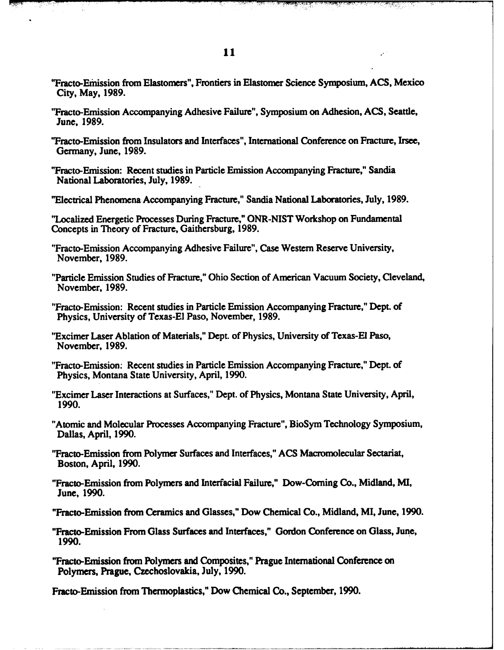"Fracto-Emhission **from** Elastomers", Frontiers in Elastomer Science Symposium, **ACS,** Mexico City, May, **1989.**

<u>रामध्यक्त प</u>

- "Fracto-Emission Accompanying Adhesive Failure", Symposium on Adhesion, **ACS,** Seattle, June, **1989.**
- "Fracto-Emission from Insulators and Interfaces", International Conference on Fracture, Irsee, Germany, June, **1989.**
- "Fracto-Emission: Recent studies in Particle Emission Accompanying Fracture," Sandia National Laboratories, July, **1989.**
- "Electrical Phenomena Accompanying Fracture," Sandia National Laboratories, July, **1989.**
- "Localized Energetic Processes During Fracture," ONR-NIST Workshop on Fundamental Concepts in Theory of Fracture, Gaithersburg, **1989.**
- "Fracto-Emission Accompanying Adhesive Failure", Case Western Reserve University, November, **1989.**
- "Particle Emission Studies of Fracture," Ohio Section of American Vacuum Society, Cleveland, November, **1989.**
- "Fracto-Emission: Recent studies in Particle Emission Accompanying Fracture," Dept. of Physics, University of Texas-El Paso, November, **1989.**
- "Excimer Laser Ablation of Materials," Dept. of Physics, University of Texas-El Paso, November, **1989.**
- "Fracto-Emission: Recent studies in Particle Emission Accompanying Fracture," Dept. of Physics, Montana State University, April, **1990.**
- "Excimer Laser Interactions at Surfaces," Dept. of Physics, Montana State University, April, **1990.**
- "Atomic and Molecular Processes Accompanying Fracture", BioSym Technology Symposium, Dallas, April, **1990.**
- "Fracto-Emission from Polymer Surfaces and Interfaces," **ACS** Macromolecular Sectariat, Boston, April, **1990.**
- **"Fracto-Emission** from Polymers and Interfacial Failure," Dow-Coming Co., Midland, MI, June, **1990.**
- "Fracto-Emission from Ceramics and Glasses," Dow Chemical Co., Midland, MI, June, **1990.**
- "Fracto-Emission From Glass Surfaces and Interfaces," Gordon Conference on Glass, June, **1990.**
- "Fracto-Emission from Polymers and Composites," Prague International Conference on Polymers, Prague, Czechoslovakia, July, **1990.**

Fracto-Emission from Thermoplastics," Dow Chemical Co., September, **1990.**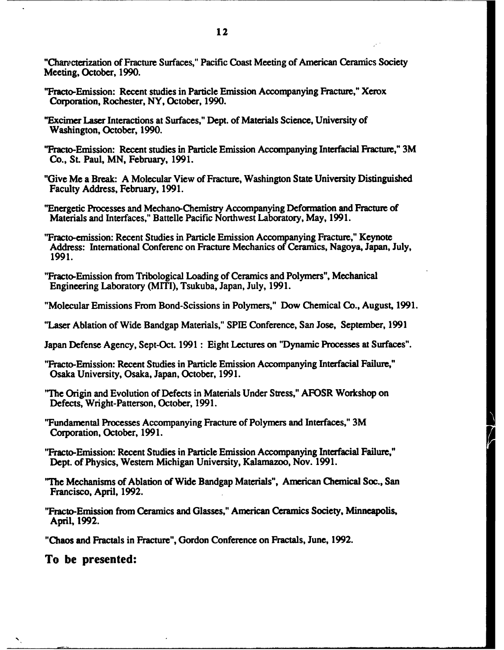"Characterization of Fracture Surfaces," Pacific Coast Meeting of American Ceramics Society Meeting, October, **1990.**

- "Fracto-Emission: Recent studies in Particle Emission Accompanying Fracture," Xerox Corporation, Rochester, NY, October, **1990.**
- "Excimer **Laser** Interactions at Surfaces," Dept. of Materials Science, University of Washington, October, **1990.**
- "Fracto-Emission: Recent studies in Particle Emission Accompanying Interfacial Fracture," 3M Co., **St.** Paul, **MN,** February, **1991.**
- "Give Me a Break: **A** Molecular View of Fracture, Washington State University Distinguished Faculty Address, February, **1991.**
- "Energetic Processes and Mechano-Chemistry Accompanying Deformation and Fracture of Materials and Interfaces," Battelle Pacific Northwest Laboratory, May, **1991.**
- "Fracto-emission: Recent Studies in Particle Emission Accompanying Fracture," Keynote Address: International Conferenc on Fracture Mechanics of Ceramics, Nagoya, Japan, July, **1991.**
- "Fracto-Emission from Tribological Loading of Ceramics and Polymers", Mechanical Engineering Laboratory (M1TI), Tsukuba, Japan, July, **1991.**
- "Molecular Emissions From Bond-Scissions in Polymers," Dow Chemical Co., August, **1991.**
- "Laser Ablation of Wide Bandgap Materials," **SPIE** Conference, San Jose, September, **1991**
- Japan Defense Agency, Sept-Oct. **1991** : Eight Lectures on "Dynamic Processes at Surfaces".
- "Fracto-Emission: Recent Studies in Particle Emission Accompanying Interfacial Failure," Osaka University, Osaka, Japan, October, **1991.**
- **"The** Origin and Evolution of Defects in Materials Under Stress," AFOSR Workshop on Defects, Wright-Patterson, October, **1991.**
- "Fundamental Processes Accompanying Fracture of Polymers and Interfaces," 3M Corporation, October, **1991.**
- "Fracto-Emission: Recent Studies in Particle Emission Accompanying Interfacial Failure," Dept. of Physics, Western Michigan University, Kalamazoo, Nov. **1991.**
- **"The** Mechanisms of Ablation of Wide Bandgap Materials", American Chemical Soc., San Francisco, April, **1992.**
- "Fracto-Emission from Ceramics and Glasses," American Ceramics Society, Minneapolis, April, **1992.**

"Chaos and Fractals in Fracture", Gordon Conference on Fractals, June, **1992.**

To be presented: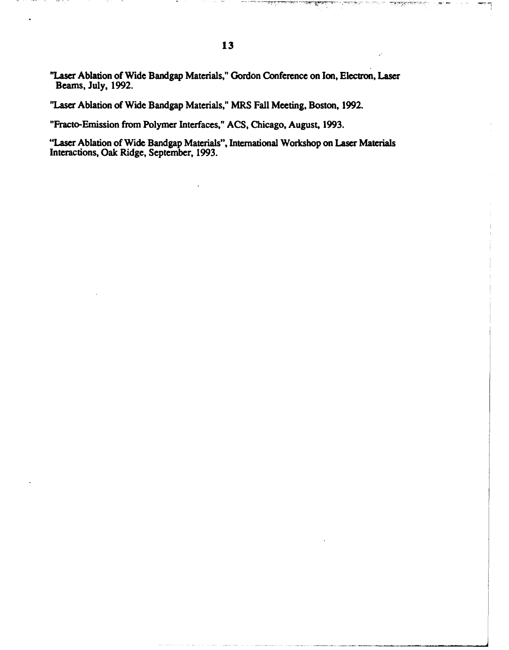**-Lae** Ablation of Wide Bandgap Materials," Gordon Conference on Ion, **Electron,** Laser Beams, July, **1992.**

**"Laser** Ablation of Wide Bandgap Materials," MRS Fall Meeting, Boston, **1992.**

"Fracto-Emission from Polymer Interfaces," **ACS,** Chicago, August, **1993.**

"Laser Ablation of Wide Bandgap Materials", International Workshop on Laser Materials Interactions, Oak Ridge, September, **1993.**

<u>पत्रसम्</u>स्त प्राप्त

٦